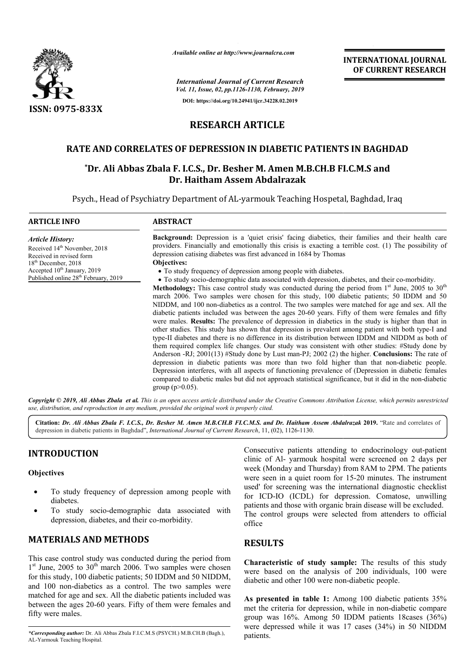

*Available online at http://www.journalcra.com*

**OF CURRENT RESEARCH**

# **RESEARCH ARTICLE**

## **RATE AND CORRELATES OF DEPRESSION IN DIABETIC PATIENTS IN BAGHDAD**

## **\*Dr. Ali Abbas Zbala F. Dr. I.C.S., Dr. Besher M. Amen M.B.CH.B FI.C.M.S and Dr. Haitham Assem Abdalrazak**

|                                                                                                                                                                                                                                                                      |                                                                                                                                                                                                                                                                                                                                                                                                                                                                                                                                                                                                                                                                                                                                                                                                                                                                                                                                                                                                                                                                                                                                                                                                                                                                                                                                                                                                                                                                                                                                                                                                                                                                                                                                                  | <b>INTERNATIONAL JOURNAL</b><br>OF CURRENT RESEARCH                                                                                                                                                                                                                                                                                                                                            |  |  |  |
|----------------------------------------------------------------------------------------------------------------------------------------------------------------------------------------------------------------------------------------------------------------------|--------------------------------------------------------------------------------------------------------------------------------------------------------------------------------------------------------------------------------------------------------------------------------------------------------------------------------------------------------------------------------------------------------------------------------------------------------------------------------------------------------------------------------------------------------------------------------------------------------------------------------------------------------------------------------------------------------------------------------------------------------------------------------------------------------------------------------------------------------------------------------------------------------------------------------------------------------------------------------------------------------------------------------------------------------------------------------------------------------------------------------------------------------------------------------------------------------------------------------------------------------------------------------------------------------------------------------------------------------------------------------------------------------------------------------------------------------------------------------------------------------------------------------------------------------------------------------------------------------------------------------------------------------------------------------------------------------------------------------------------------|------------------------------------------------------------------------------------------------------------------------------------------------------------------------------------------------------------------------------------------------------------------------------------------------------------------------------------------------------------------------------------------------|--|--|--|
|                                                                                                                                                                                                                                                                      |                                                                                                                                                                                                                                                                                                                                                                                                                                                                                                                                                                                                                                                                                                                                                                                                                                                                                                                                                                                                                                                                                                                                                                                                                                                                                                                                                                                                                                                                                                                                                                                                                                                                                                                                                  | <b>International Journal of Current Research</b><br>Vol. 11, Issue, 02, pp.1126-1130, February, 2019                                                                                                                                                                                                                                                                                           |  |  |  |
|                                                                                                                                                                                                                                                                      |                                                                                                                                                                                                                                                                                                                                                                                                                                                                                                                                                                                                                                                                                                                                                                                                                                                                                                                                                                                                                                                                                                                                                                                                                                                                                                                                                                                                                                                                                                                                                                                                                                                                                                                                                  | DOI: https://doi.org/10.24941/ijcr.34228.02.2019                                                                                                                                                                                                                                                                                                                                               |  |  |  |
| ISSN: 0975-833X                                                                                                                                                                                                                                                      |                                                                                                                                                                                                                                                                                                                                                                                                                                                                                                                                                                                                                                                                                                                                                                                                                                                                                                                                                                                                                                                                                                                                                                                                                                                                                                                                                                                                                                                                                                                                                                                                                                                                                                                                                  |                                                                                                                                                                                                                                                                                                                                                                                                |  |  |  |
|                                                                                                                                                                                                                                                                      | <b>RESEARCH ARTICLE</b>                                                                                                                                                                                                                                                                                                                                                                                                                                                                                                                                                                                                                                                                                                                                                                                                                                                                                                                                                                                                                                                                                                                                                                                                                                                                                                                                                                                                                                                                                                                                                                                                                                                                                                                          |                                                                                                                                                                                                                                                                                                                                                                                                |  |  |  |
|                                                                                                                                                                                                                                                                      |                                                                                                                                                                                                                                                                                                                                                                                                                                                                                                                                                                                                                                                                                                                                                                                                                                                                                                                                                                                                                                                                                                                                                                                                                                                                                                                                                                                                                                                                                                                                                                                                                                                                                                                                                  | RATE AND CORRELATES OF DEPRESSION IN DIABETIC PATIENTS IN BAGHDAD                                                                                                                                                                                                                                                                                                                              |  |  |  |
|                                                                                                                                                                                                                                                                      |                                                                                                                                                                                                                                                                                                                                                                                                                                                                                                                                                                                                                                                                                                                                                                                                                                                                                                                                                                                                                                                                                                                                                                                                                                                                                                                                                                                                                                                                                                                                                                                                                                                                                                                                                  | *Dr. Ali Abbas Zbala F. I.C.S., Dr. Besher M. Amen M.B.CH.B FI.C.M.S and                                                                                                                                                                                                                                                                                                                       |  |  |  |
|                                                                                                                                                                                                                                                                      | Dr. Haitham Assem Abdalrazak                                                                                                                                                                                                                                                                                                                                                                                                                                                                                                                                                                                                                                                                                                                                                                                                                                                                                                                                                                                                                                                                                                                                                                                                                                                                                                                                                                                                                                                                                                                                                                                                                                                                                                                     |                                                                                                                                                                                                                                                                                                                                                                                                |  |  |  |
|                                                                                                                                                                                                                                                                      |                                                                                                                                                                                                                                                                                                                                                                                                                                                                                                                                                                                                                                                                                                                                                                                                                                                                                                                                                                                                                                                                                                                                                                                                                                                                                                                                                                                                                                                                                                                                                                                                                                                                                                                                                  | Psych., Head of Psychiatry Department of AL-yarmouk Teaching Hospetal, Baghdad, Iraq                                                                                                                                                                                                                                                                                                           |  |  |  |
| <b>ARTICLE INFO</b>                                                                                                                                                                                                                                                  | <b>ABSTRACT</b>                                                                                                                                                                                                                                                                                                                                                                                                                                                                                                                                                                                                                                                                                                                                                                                                                                                                                                                                                                                                                                                                                                                                                                                                                                                                                                                                                                                                                                                                                                                                                                                                                                                                                                                                  |                                                                                                                                                                                                                                                                                                                                                                                                |  |  |  |
| <b>Article History:</b><br>Received 14 <sup>th</sup> November, 2018<br>Received in revised form<br>$18th$ December, 2018<br>Accepted 10 <sup>th</sup> January, 2019<br>Published online 28 <sup>th</sup> February, 2019                                              | Background: Depression is a 'quiet crisis' facing diabetics, their families and their health care<br>providers. Financially and emotionally this crisis is exacting a terrible cost. (1) The possibility of<br>depression catising diabetes was first advanced in 1684 by Thomas<br>Objectives:<br>• To study frequency of depression among people with diabetes.<br>• To study socio-demographic data associated with depression, diabetes, and their co-morbidity.<br><b>Methodology:</b> This case control study was conducted during the period from $1st$ June, 2005 to 30 <sup>th</sup><br>march 2006. Two samples were chosen for this study, 100 diabetic patients; 50 IDDM and 50<br>NIDDM, and 100 non-diabetics as a control. The two samples were matched for age and sex. All the<br>diabetic patients included was between the ages 20-60 years. Fifty of them were females and fifty<br>were males. Results: The prevalence of depression in diabetics in the study is higher than that in<br>other studies. This study has shown that depression is prevalent among patient with both type-I and<br>type-II diabetes and there is no difference in its distribution between IDDM and NIDDM as both of<br>them required complex life changes. Our study was consistent with other studies: #Study done by<br>Anderson -RJ; 2001(13) #Study done by Lust man-PJ; 2002 (2) the higher. Conclusions: The rate of<br>depression in diabetic patients was more than two fold higher than that non-diabetic people.<br>Depression interferes, with all aspects of functioning prevalence of (Depression in diabetic females<br>compared to diabetic males but did not approach statistical significance, but it did in the non-diabetic |                                                                                                                                                                                                                                                                                                                                                                                                |  |  |  |
| use, distribution, and reproduction in any medium, provided the original work is properly cited.                                                                                                                                                                     | group ( $p > 0.05$ ).                                                                                                                                                                                                                                                                                                                                                                                                                                                                                                                                                                                                                                                                                                                                                                                                                                                                                                                                                                                                                                                                                                                                                                                                                                                                                                                                                                                                                                                                                                                                                                                                                                                                                                                            | Copyright © 2019, Ali Abbas Zbala et al. This is an open access article distributed under the Creative Commons Attribution License, which permits unrestricted                                                                                                                                                                                                                                 |  |  |  |
| depression in diabetic patients in Baghdad", International Journal of Current Research, 11, (02), 1126-1130.                                                                                                                                                         |                                                                                                                                                                                                                                                                                                                                                                                                                                                                                                                                                                                                                                                                                                                                                                                                                                                                                                                                                                                                                                                                                                                                                                                                                                                                                                                                                                                                                                                                                                                                                                                                                                                                                                                                                  | Citation: Dr. Ali Abbas Zbala F. I.C.S., Dr. Besher M. Amen M.B.CH.B FI.C.M.S. and Dr. Haitham Assem Abdalrazak 2019. "Rate and correlates of                                                                                                                                                                                                                                                  |  |  |  |
| <b>INTRODUCTION</b>                                                                                                                                                                                                                                                  |                                                                                                                                                                                                                                                                                                                                                                                                                                                                                                                                                                                                                                                                                                                                                                                                                                                                                                                                                                                                                                                                                                                                                                                                                                                                                                                                                                                                                                                                                                                                                                                                                                                                                                                                                  | Consecutive patients attending to endocrinology out-patient<br>clinic of Al- yarmouk hospital were screened on 2 days per                                                                                                                                                                                                                                                                      |  |  |  |
| <b>Objectives</b><br>diabetes.<br>depression, diabetes, and their co-morbidity.                                                                                                                                                                                      | To study frequency of depression among people with<br>To study socio-demographic data associated with                                                                                                                                                                                                                                                                                                                                                                                                                                                                                                                                                                                                                                                                                                                                                                                                                                                                                                                                                                                                                                                                                                                                                                                                                                                                                                                                                                                                                                                                                                                                                                                                                                            | week (Monday and Thursday) from 8AM to 2PM. The patients<br>were seen in a quiet room for 15-20 minutes. The instrument<br>used' for screening was the international diagnostic checklist<br>for ICD-IO (ICDL) for depression. Comatose, unwilling<br>patients and those with organic brain disease will be excluded.<br>The control groups were selected from attenders to official<br>office |  |  |  |
| <b>MATERIALS AND METHODS</b>                                                                                                                                                                                                                                         |                                                                                                                                                                                                                                                                                                                                                                                                                                                                                                                                                                                                                                                                                                                                                                                                                                                                                                                                                                                                                                                                                                                                                                                                                                                                                                                                                                                                                                                                                                                                                                                                                                                                                                                                                  | <b>RESULTS</b>                                                                                                                                                                                                                                                                                                                                                                                 |  |  |  |
| This case control study was conducted during the period from<br>$1st$ June, 2005 to 30 <sup>th</sup> march 2006. Two samples were chosen<br>for this study, 100 diabetic patients; 50 IDDM and 50 NIDDM,<br>and 100 non-diabetics as a control. The two samples were |                                                                                                                                                                                                                                                                                                                                                                                                                                                                                                                                                                                                                                                                                                                                                                                                                                                                                                                                                                                                                                                                                                                                                                                                                                                                                                                                                                                                                                                                                                                                                                                                                                                                                                                                                  | Characteristic of study sample: The results of this study<br>were based on the analysis of 200 individuals, 100 were<br>diabetic and other 100 were non-diabetic people.                                                                                                                                                                                                                       |  |  |  |
| matched for age and sex. All the diabetic patients included was<br>between the ages 20-60 years. Fifty of them were females and<br>fifty were males.                                                                                                                 |                                                                                                                                                                                                                                                                                                                                                                                                                                                                                                                                                                                                                                                                                                                                                                                                                                                                                                                                                                                                                                                                                                                                                                                                                                                                                                                                                                                                                                                                                                                                                                                                                                                                                                                                                  | As presented in table 1: Among 100 diabetic patients 35%<br>met the criteria for depression, while in non-diabetic compare<br>group was 16%. Among 50 IDDM patients 18cases (36%)                                                                                                                                                                                                              |  |  |  |

## **INTRODUCTION**

### **Objectives**

- To study frequency of depression among people with diabetes.
- To study socio-demographic data associated with depression, diabetes, and their co-morbidity.

### **MATERIALS AND METHODS**

This case control study was conducted during the period from  $1<sup>st</sup>$  June, 2005 to 30<sup>th</sup> march 2006. Two samples were chosen for this study, 100 diabetic patients; 50 IDDM and 50 NIDDM, and 100 non-diabetics as a control. The two samples were matched for age and sex. All the diabetic patients included was between the ages 20-60 years. Fifty of them were females and fifty were males. **between the ages 20-60 years. Fifty of them were females are fifty were males.**<br>
Fifty were males.<br>
Figures 2014 F.I.C.M.S (PSYCH.) M.B.CH.B (Bagh.),

## **RESULTS**

**As presented in table 1:** Among 100 diabetic patients 35% As presented in table 1: Among 100 diabetic patients 35% met the criteria for depression, while in non-diabetic compare group was 16%. Among 50 IDDM patients 18cases (36%) were depressed while it was 17 cases (34%) in 50 NIDDM patients.

AL-Yarmouk Teaching Hospital.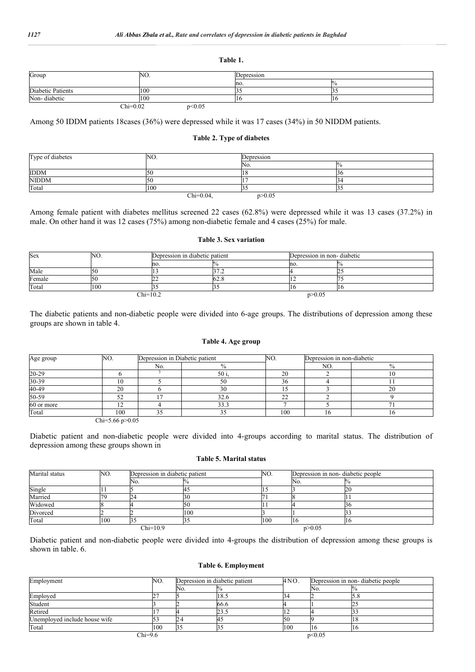#### **Table 1.**

| Group             | NO.        | Depression |      |  |
|-------------------|------------|------------|------|--|
|                   |            | no.        |      |  |
| Diabetic Patients | 100        |            | D.   |  |
| Non-diabetic      | 100        |            | 11 O |  |
|                   | $Chi=0.02$ | p<0.05     |      |  |

Among 50 IDDM patients 18cases (36%) were depressed while it was 17 cases (34%) in 50 NIDDM patients.

#### **Table 2. Type of diabetes**

| Type of diabetes | NO. | Depression               |    |  |
|------------------|-----|--------------------------|----|--|
|                  |     | No.                      |    |  |
| <b>IDDM</b>      | 15C | ıο                       | DО |  |
| <b>NIDDM</b>     | 15C |                          |    |  |
| Total            | 100 |                          |    |  |
|                  |     | p > 0.05<br>$Chi=0.04$ , |    |  |

Among female patient with diabetes mellitus screened 22 cases (62.8%) were depressed while it was 13 cases (37.2%) in male. On other hand it was 12 cases (75%) among non-diabetic female and 4 cases (25%) for male.

### **Table 3. Sex variation**

| <b>Sex</b> | NO. |     | Depression in diabetic patient |        | Depression in non-diabetic |  |
|------------|-----|-----|--------------------------------|--------|----------------------------|--|
|            |     | no. |                                | no.    | 70                         |  |
| Male       | '50 |     |                                |        |                            |  |
| Female     | -50 |     | 62.5                           |        |                            |  |
| Total      | 100 |     |                                |        |                            |  |
| $Chi=10.2$ |     |     |                                | o>0.05 |                            |  |

The diabetic patients and non-diabetic people were divided into 6-age groups. The distributions of depression among these groups are shown in table 4.

#### **Table 4. Age group**

| Age group  | NO. | Depression in Diabetic patient |       | NO.          | Depression in non-diabetic |    |
|------------|-----|--------------------------------|-------|--------------|----------------------------|----|
|            |     | No.                            |       |              | NO.                        |    |
| $20 - 29$  |     |                                | 50 i. | $\cap$       |                            |    |
| $30 - 39$  |     |                                |       |              |                            |    |
| $40 - 49$  | 20  |                                | 30    |              |                            | 20 |
| 50-59      |     |                                | 32.6  | $\sim$<br>∠∠ |                            |    |
| 60 or more |     |                                | 33.3  |              |                            |    |
| Total      | 100 |                                |       | 100          |                            |    |

Chi=5.66 p>0.05

Diabetic patient and non-diabetic people were divided into 4-groups according to marital status. The distribution of depression among these groups shown in

#### **Table 5. Marital status**

| Marital status | NO.        |     | Depression in diabetic patient |     |          | Depression in non-diabetic people |
|----------------|------------|-----|--------------------------------|-----|----------|-----------------------------------|
|                |            | N0. |                                |     | No.      |                                   |
| Single         |            |     |                                |     |          |                                   |
| Married        |            |     | 5U                             |     |          |                                   |
| Widowed        |            |     |                                |     |          |                                   |
| Divorced       |            |     | 100                            |     |          |                                   |
| Total          | 100        |     |                                | 100 |          |                                   |
|                | $Chi=10.9$ |     |                                |     | p > 0.05 |                                   |

Diabetic patient and non-diabetic people were divided into 4-groups the distribution of depression among these groups is shown in table. 6.

#### **Table 6. Employment**

| Employment                    | NO. | Depression in diabetic patient |      | 4NO.           |     | Depression in non-diabetic people |
|-------------------------------|-----|--------------------------------|------|----------------|-----|-----------------------------------|
|                               |     | No.                            |      |                | No. |                                   |
| Emploved                      |     |                                | 18.5 |                |     | D.C                               |
| Student                       |     |                                | 66.6 |                |     | ب سه                              |
| Retired                       |     |                                | 23.J | $\overline{1}$ |     |                                   |
| Unemployed include house wife | ر ر |                                | т.   | 50             |     |                                   |
| Total                         | 100 |                                |      | 100            |     | 10                                |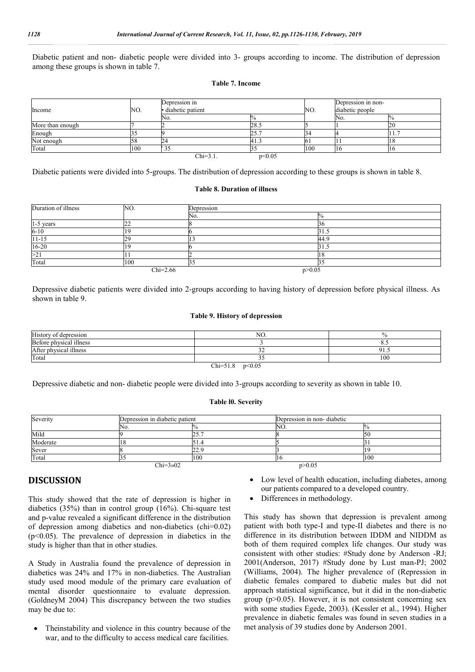Diabetic patient and non- diabetic people were divided into 3- groups according to income. The distribution of depression among these groups is shown in table 7.

### **Table 7. Income**

| Income           | NO. | Depression in<br>· diabetic patient | NO.            |     | Depression in non-<br>diabetic people |    |
|------------------|-----|-------------------------------------|----------------|-----|---------------------------------------|----|
|                  |     | No.                                 | $\frac{10}{6}$ |     | No.                                   |    |
| More than enough |     |                                     | 28.5           |     |                                       | າ( |
| Enough           |     |                                     | 25.7           |     |                                       |    |
| Not enough       |     | -24                                 | 41.3           | IV. |                                       |    |
| Total            | 100 |                                     |                | 100 | 16                                    |    |
|                  |     | $Chi=3.1$ .                         | p<0.05         |     |                                       |    |

Diabetic patients were divided into 5-groups. The distribution of depression according to these groups is shown in table 8.

#### **Table 8. Duration of illness**

| Duration of illness | NO. | Depression |          |
|---------------------|-----|------------|----------|
|                     |     | No.        |          |
| $1-5$ years         |     |            |          |
| $6 - 10$            |     |            | 51.5     |
| $11 - 15$           | nc  |            | 44.9     |
| $16 - 20$           |     |            |          |
| >21                 |     |            |          |
| Total               | 100 |            |          |
|                     |     | $Chi=2.66$ | p > 0.05 |

Depressive diabetic patients were divided into 2-groups according to having history of depression before physical illness. As shown in table 9.

#### **Table 9. History of depression**

| History of depression   | NO. | $\%$ |  |  |  |
|-------------------------|-----|------|--|--|--|
| Before physical illness |     | ن.ە  |  |  |  |
| After physical illness  | ے ر | 91.5 |  |  |  |
| Total                   | ر ر | 100  |  |  |  |
| p<0.05<br>$Chi=51.8$    |     |      |  |  |  |

Depressive diabetic and non- diabetic people were divided into 3-groups according to severity as shown in table 10.

#### **Table l0. Severity**

| Severity   |     | Depression in diabetic patient |          | Depression in non-diabetic |
|------------|-----|--------------------------------|----------|----------------------------|
|            | No. |                                | NU.      |                            |
| Mild       |     | 25.                            |          |                            |
| Moderate   |     | 31.4                           |          |                            |
| Sever      |     | 22.                            |          |                            |
| Total      |     | 100                            |          | 100                        |
| $Chi=3.02$ |     |                                | p > 0.05 |                            |

### **DISCUSSION**

This study showed that the rate of depression is higher in diabetics (35%) than in control group (16%). Chi-square test and p-value revealed a significant difference in the distribution of depression among diabetics and non-diabetics (chi=0.02) (p<0.05). The prevalence of depression in diabetics in the study is higher than that in other studies.

A Study in Australia found the prevalence of depression in diabetics was 24% and 17% in non-diabetics. The Australian study used mood module of the primary care evaluation of mental disorder questionnaire to evaluate depression. (GoldneyM 2004) This discrepancy between the two studies may be due to:

 Theinstability and violence in this country because of the war, and to the difficulty to access medical care facilities.

- Low level of health education, including diabetes, among our patients compared to a developed country.
- Differences in methodology.

This study has shown that depression is prevalent among patient with both type-I and type-II diabetes and there is no difference in its distribution between IDDM and NIDDM as both of them required complex life changes. Our study was consistent with other studies: #Study done by Anderson -RJ; 2001(Anderson, 2017) #Study done by Lust man-PJ; 2002 (Williams, 2004). The higher prevalence of (Repression in diabetic females compared to diabetic males but did not approach statistical significance, but it did in the non-diabetic group ( $p > 0.05$ ). However, it is not consistent concerning sex with some studies Egede, 2003). (Kessler et al., 1994). Higher prevalence in diabetic females was found in seven studies in a met analysis of 39 studies done by Anderson 2001.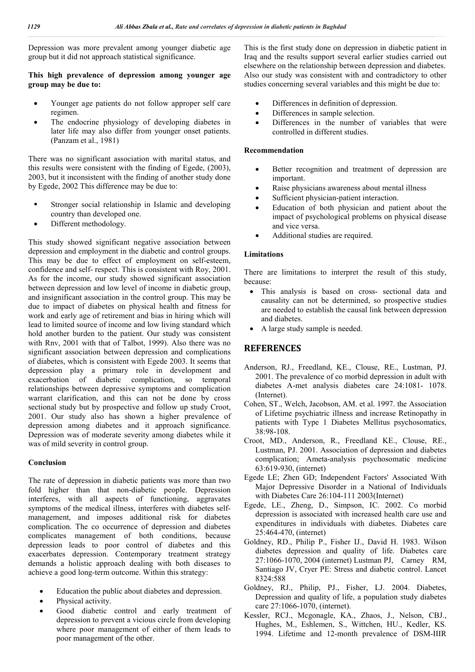Depression was more prevalent among younger diabetic age group but it did not approach statistical significance.

### **This high prevalence of depression among younger age group may be due to:**

- Younger age patients do not follow approper self care regimen.
- The endocrine physiology of developing diabetes in later life may also differ from younger onset patients. (Panzam et al., 1981)

There was no significant association with marital status, and this results were consistent with the finding of Egede, (2003), 2003, but it inconsistent with the finding of another study done by Egede, 2002 This difference may be due to:

- Stronger social relationship in Islamic and developing country than developed one.
- Different methodology.

This study showed significant negative association between depression and employment in the diabetic and control groups. This may be due to effect of employment on self-esteem, confidence and self- respect. This is consistent with Roy, 2001. As for the income, our study showed significant association between depression and low level of income in diabetic group, and insignificant association in the control group. This may be due to impact of diabetes on physical health and fitness for work and early age of retirement and bias in hiring which will lead to limited source of income and low living standard which hold another burden to the patient. Our study was consistent with Rnv, 2001 with that of Talbot, 1999). Also there was no significant association between depression and complications of diabetes, which is consistent with Egede 2003. It seems that depression play a primary role in development and exacerbation of diabetic complication, so temporal relationships between depressive symptoms and complication warrant clarification, and this can not be done by cross sectional study but by prospective and follow up study Croot, 2001. Our study also has shown a higher prevalence of depression among diabetes and it approach significance. Depression was of moderate severity among diabetes while it was of mild severity in control group.

#### **Conclusion**

The rate of depression in diabetic patients was more than two fold higher than that non-diabetic people. Depression interferes, with all aspects of functioning, aggravates symptoms of the medical illness, interferes with diabetes selfmanagement, and imposes additional risk for diabetes complication. The co occurrence of depression and diabetes complicates management of both conditions, because depression leads to poor control of diabetes and this exacerbates depression. Contemporary treatment strategy demands a holistic approach dealing with both diseases to achieve a good long-term outcome. Within this strategy:

- Education the public about diabetes and depression.
- Physical activity.
- Good diabetic control and early treatment of depression to prevent a vicious circle from developing where poor management of either of them leads to poor management of the other.

This is the first study done on depression in diabetic patient in Iraq and the results support several earlier studies carried out elsewhere on the relationship between depression and diabetes. Also our study was consistent with and contradictory to other studies concerning several variables and this might be due to:

- Differences in definition of depression.
- Differences in sample selection.
- Differences in the number of variables that were controlled in different studies.

#### **Recommendation**

- Better recognition and treatment of depression are important.
- Raise physicians awareness about mental illness
- Sufficient physician-patient interaction.
- Education of both physician and patient about the impact of psychological problems on physical disease and vice versa.
- Additional studies are required.

### **Limitations**

There are limitations to interpret the result of this study, because:

- This analysis is based on cross- sectional data and causality can not be determined, so prospective studies are needed to establish the causal link between depression and diabetes.
- A large study sample is needed.

### **REFERENCES**

- Anderson, RJ., Freedland, KE., Clouse, RE., Lustman, PJ. 2001. The prevalence of co morbid depression in adult with diabetes A-met analysis diabetes care 24:1081- 1078. (Internet).
- Cohen, ST., Welch, Jacobson, AM. et al. 1997. the Association of Lifetime psychiatric illness and increase Retinopathy in patients with Type 1 Diabetes Mellitus psychosomatics, 38:98-108.
- Croot, MD., Anderson, R., Freedland KE., Clouse, RE., Lustman, PJ. 2001. Association of depression and diabetes complication; Ameta-analysis psychosomatic medicine 63:619-930, (internet)
- Egede LE; Zhen GD; Independent Factors' Associated With Major Depressive Disorder in a National of Individuals with Diabetes Care 26:104-111 2003(Internet)
- Egede, LE., Zheng, D., Simpson, IC. 2002. Co morbid depression is associated with increased health care use and expenditures in individuals with diabetes. Diabetes care 25:464-470, (internet)
- Goldney, RD., Philip P., Fisher IJ., David H. 1983. Wilson diabetes depression and quality of life. Diabetes care 27:1066-1070, 2004 (internet) Lustman PJ, Carney RM, Santiago JV, Cryer PE: Stress and diabetic control. Lancet 8324:588
- Goldney, RJ., Philip, PJ., Fisher, LJ. 2004. Diabetes, Depression and quality of life, a population study diabetes care 27:1066-1070, (internet).
- Kessler, RCJ., Mcgonagle, KA., Zhaos, J., Nelson, CBJ., Hughes, M., Eshlemen, S., Wittchen, HU., Kedler, KS. 1994. Lifetime and 12-month prevalence of DSM-IIIR